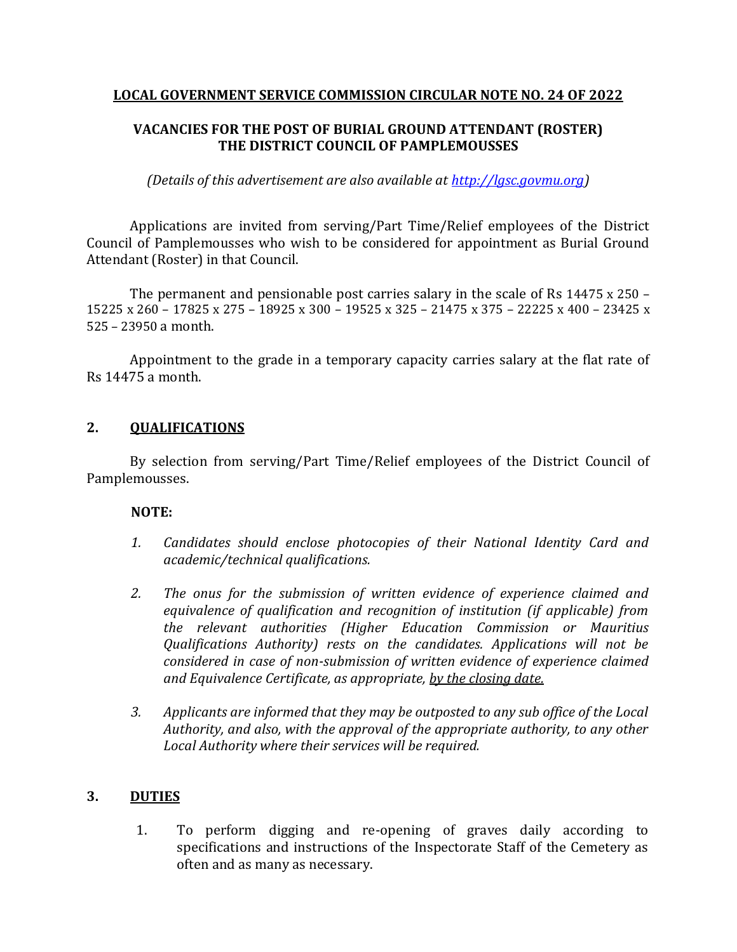#### **LOCAL GOVERNMENT SERVICE COMMISSION CIRCULAR NOTE NO. 24 OF 2022**

## **VACANCIES FOR THE POST OF BURIAL GROUND ATTENDANT (ROSTER) THE DISTRICT COUNCIL OF PAMPLEMOUSSES**

*(Details of this advertisement are also available at [http://lgsc.govmu.org\)](http://lgsc.govmu.org/)*

Applications are invited from serving/Part Time/Relief employees of the District Council of Pamplemousses who wish to be considered for appointment as Burial Ground Attendant (Roster) in that Council.

The permanent and pensionable post carries salary in the scale of Rs 14475 x 250 – 15225 x 260 – 17825 x 275 – 18925 x 300 – 19525 x 325 – 21475 x 375 – 22225 x 400 – 23425 x 525 – 23950 a month.

Appointment to the grade in a temporary capacity carries salary at the flat rate of Rs 14475 a month.

## **2. QUALIFICATIONS**

By selection from serving/Part Time/Relief employees of the District Council of Pamplemousses.

### **NOTE:**

- *1. Candidates should enclose photocopies of their National Identity Card and academic/technical qualifications.*
- *2. The onus for the submission of written evidence of experience claimed and equivalence of qualification and recognition of institution (if applicable) from the relevant authorities (Higher Education Commission or Mauritius Qualifications Authority) rests on the candidates. Applications will not be considered in case of non-submission of written evidence of experience claimed and Equivalence Certificate, as appropriate, by the closing date.*
- *3. Applicants are informed that they may be outposted to any sub office of the Local Authority, and also, with the approval of the appropriate authority, to any other Local Authority where their services will be required.*

### **3. DUTIES**

1. To perform digging and re-opening of graves daily according to specifications and instructions of the Inspectorate Staff of the Cemetery as often and as many as necessary.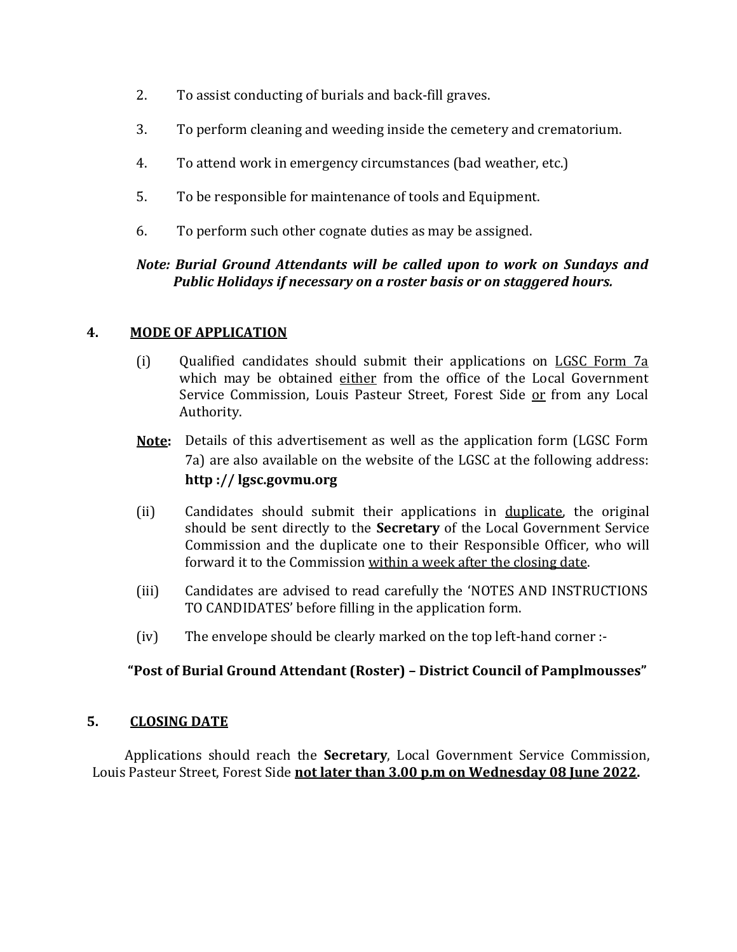- 2. To assist conducting of burials and back-fill graves.
- 3. To perform cleaning and weeding inside the cemetery and crematorium.
- 4. To attend work in emergency circumstances (bad weather, etc.)
- 5. To be responsible for maintenance of tools and Equipment.
- 6. To perform such other cognate duties as may be assigned.

## *Note: Burial Ground Attendants will be called upon to work on Sundays and Public Holidays if necessary on a roster basis or on staggered hours.*

## **4. MODE OF APPLICATION**

- (i) Qualified candidates should submit their applications on LGSC Form 7a which may be obtained either from the office of the Local Government Service Commission, Louis Pasteur Street, Forest Side or from any Local Authority.
- **Note:** Details of this advertisement as well as the application form (LGSC Form 7a) are also available on the website of the LGSC at the following address: **http :// lgsc.govmu.org**
- (ii) Candidates should submit their applications in duplicate, the original should be sent directly to the **Secretary** of the Local Government Service Commission and the duplicate one to their Responsible Officer, who will forward it to the Commission within a week after the closing date.
- (iii) Candidates are advised to read carefully the 'NOTES AND INSTRUCTIONS TO CANDIDATES' before filling in the application form.
- (iv) The envelope should be clearly marked on the top left-hand corner :-

# **"Post of Burial Ground Attendant (Roster) – District Council of Pamplmousses"**

### **5. CLOSING DATE**

Applications should reach the **Secretary**, Local Government Service Commission, Louis Pasteur Street, Forest Side **not later than 3.00 p.m on Wednesday 08 June 2022.**